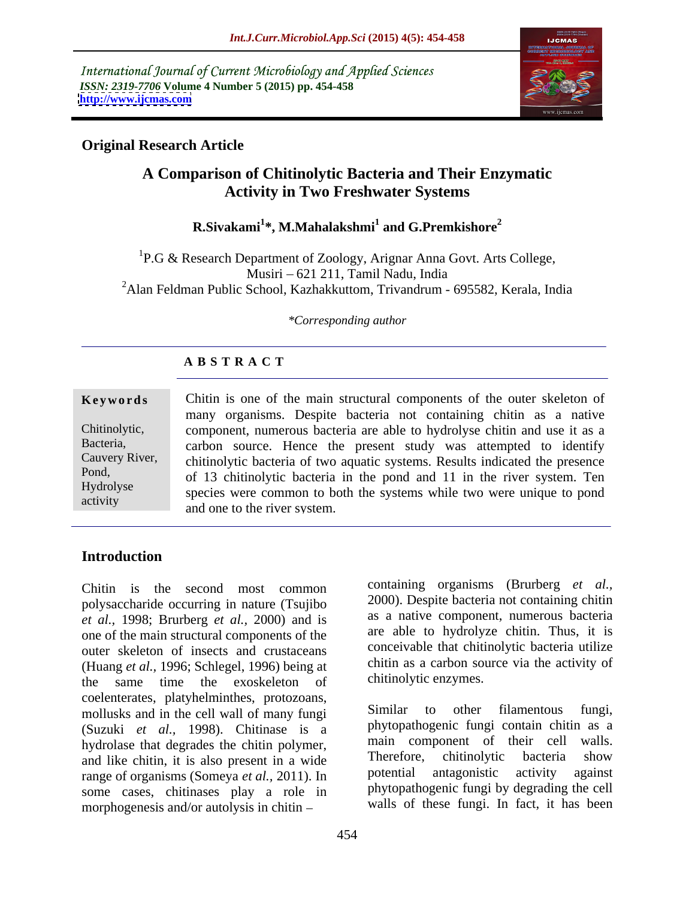International Journal of Current Microbiology and Applied Sciences *ISSN: 2319-7706* **Volume 4 Number 5 (2015) pp. 454-458 <http://www.ijcmas.com>**



# **Original Research Article**

# **A Comparison of Chitinolytic Bacteria and Their Enzymatic Activity in Two Freshwater Systems**

#### $\mathbf{R}.\mathbf{Sivakami}^{1*}, \mathbf{M}. \mathbf{Mahalakshmi}^{1}$  and  $\mathbf{G}.\mathbf{Premkishore}^{2}$  **and G.Premkishore<sup>2</sup>**

<sup>1</sup>P.G & Research Department of Zoology, Arignar Anna Govt. Arts College, Musiri 621 211, Tamil Nadu, India <sup>2</sup>Alan Feldman Public School, Kazhakkuttom, Trivandrum - 695582, Kerala, India

#### *\*Corresponding author*

### **A B S T R A C T**

#### **Keywords** Chitin is one of the main structural components of the outer skeleton of many organisms. Despite bacteria not containing chitin as a native Chitinolytic, component, numerous bacteria are able to hydrolyse chitin and use it as a carbon source. Hence the present study was attempted to identify Bacteria, Cauvery River, chitinolytic bacteria of two aquatic systems. Results indicated the presence of 13 chitinolytic bacteria in the pond and 11 in the river system. Ten Pond, Hydrolyse<br>
species were common to both the systems while two were unique to pond and one to the river system. activity

### **Introduction**

Chitin is the second most common polysaccharide occurring in nature (Tsujibo *et al.,* 1998; Brurberg *et al.,* 2000) and is one of the main structural components of the outer skeleton of insects and crustaceans (Huang *et al.,* 1996; Schlegel, 1996) being at the same time the exoskeleton of coelenterates, platyhelminthes, protozoans,<br>mollusks and in the cell wall of many funci Similar to other filamentous fungi, mollusks and in the cell wall of many fungi (Suzuki *et al.,* 1998). Chitinase is a hydrolase that degrades the chitin polymer,<br>and like chitin it is also present in a wide<br>Therefore, chitinolytic bacteria show and like chitin, it is also present in a wide<br>  $\frac{1}{2}$  Therefore, chitinolytic bacteria show<br>
potential antagonistic activity against range of organisms (Someya *et al.,* 2011). In some cases, chitinases play a role in morphogenesis and/or autolysis in chitin

containing organisms (Brurberg *et al.,* 2000). Despite bacteria not containing chitin as a native component, numerous bacteria are able to hydrolyze chitin. Thus, it is conceivable that chitinolytic bacteria utilize chitin as a carbon source via the activity of chitinolytic enzymes.

Similar to other filamentous fungi, phytopathogenic fungi contain chitin as a main component of their cell walls. Therefore, chitinolytic bacteria show potential antagonistic activity against phytopathogenic fungi by degrading the cell walls of these fungi. In fact, it has been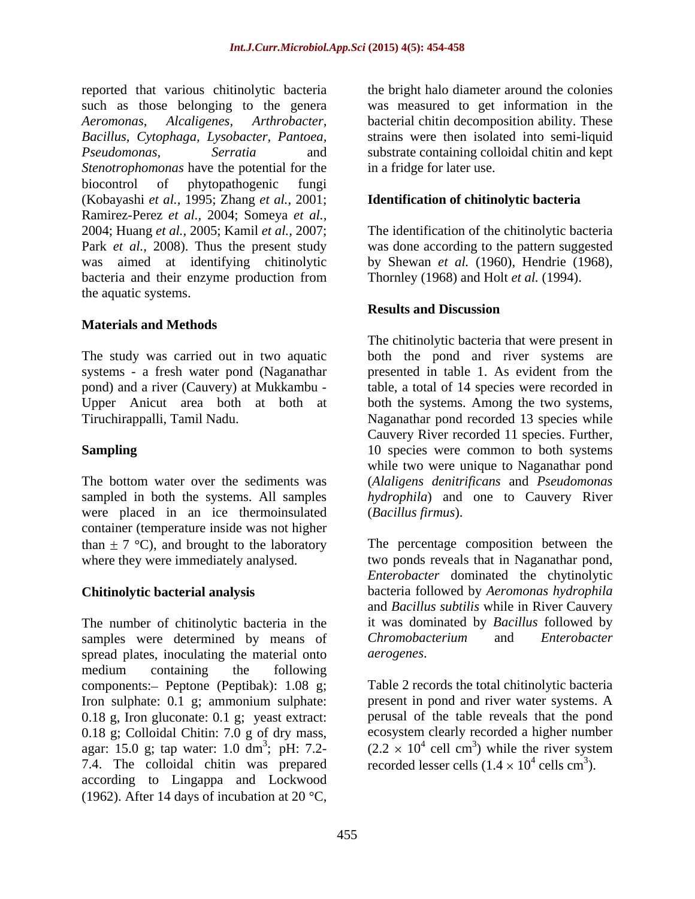reported that various chitinolytic bacteria such as those belonging to the genera *Aeromonas, Alcaligenes, Arthrobacter,* bacterial chitin decomposition ability. These *Bacillus, Cytophaga, Lysobacter, Pantoea,* strains were then isolated into semi-liquid *Pseudomonas, Serratia* and substrate containing colloidal chitin and kept *Stenotrophomonas* have the potential for the biocontrol of phytopathogenic fungi (Kobayashi *et al.,* 1995; Zhang *et al.,* 2001; Ramirez-Perez *et al.,* 2004; Someya *et al.,* 2004; Huang *et al.,* 2005; Kamil *et al.,* 2007; The identification of the chitinolytic bacteria Park *et al.*, 2008). Thus the present study was done according to the pattern suggested was aimed at identifying chitinolytic by Shewan *et al.* (1960), Hendrie (1968), bacteria and their enzyme production from the aquatic systems.

#### **Materials and Methods**

systems - a fresh water pond (Naganathar presented in table 1. As evident from the

were placed in an ice thermoinsulated container (temperature inside was not higher than  $\pm$  7 °C), and brought to the laboratory

The number of chitinolytic bacteria in the samples were determined by means of Chromobacterium and Enterobacter spread plates, inoculating the material onto *aerogenes*. medium containing the following components: - Peptone (Peptibak): 1.08 g; Iron sulphate: 0.1 g; ammonium sulphate: 0.18 g, Iron gluconate: 0.1 g; yeast extract: 0.18 g; Colloidal Chitin: 7.0 g of dry mass, agar: 15.0 g; tap water: 1.0 dm<sup>3</sup>; pH: 7.2-  $(2.2 \times 10^4 \text{ cell cm}^3)$  while the river system 7.4. The colloidal chitin was prepared according to Lingappa and Lockwood (1962). After 14 days of incubation at 20  $^{\circ}$ C,

the bright halo diameter around the colonies was measured to get information in the in a fridge for later use.

#### **Identification of chitinolytic bacteria**

Thornley (1968) and Holt *et al.* (1994).

#### **Results and Discussion**

The study was carried out in two aquatic both the pond and river systems are pond) and a river (Cauvery) at Mukkambu - table, a total of 14 species were recorded in Upper Anicut area both at both at both the systems. Among the two systems, Tiruchirappalli, Tamil Nadu. Naganathar pond recorded 13 species while **Sampling** 10 species were common to both systems The bottom water over the sediments was (*Alaligens denitrificans* and *Pseudomonas* sampled in both the systems. All samples *hydrophila*) and one to Cauvery River The chitinolytic bacteria that were present in presented in table 1. As evident from the Cauvery River recorded 11 species. Further, while two were unique to Naganathar pond (*Bacillus firmus*).

where they were immediately analysed. two ponds reveals that in Naganathar pond, **Chitinolytic bacterial analysis** bacteria followed by *Aeromonas hydrophila* The percentage composition between the *Enterobacter* dominated the chytinolytic and *Bacillus subtilis* while in River Cauvery it was dominated by *Bacillus* followed by  $Chromobacterium$ *aerogenes*.

> Table 2 records the total chitinolytic bacteria present in pond and river water systems. A perusal of the table reveals that the pond ecosystem clearly recorded a higher number cell cm<sup>3</sup>) while the river system ) while the river system recorded lesser cells  $(1.4 \times 10^4 \text{ cells cm}^3)$ . cells  $cm<sup>3</sup>$ ).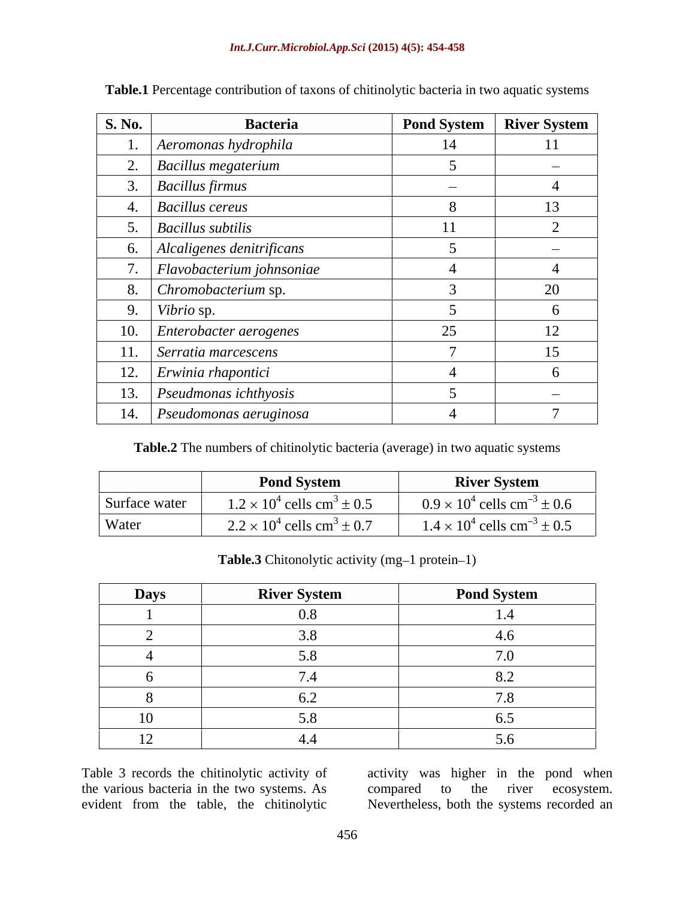| <b>S. No.</b><br><b>Bacteria</b>  |               | Pond System   River System |
|-----------------------------------|---------------|----------------------------|
| Aeromonas hydrophila              | 14            | 11                         |
| $\Box$ Bacillus megaterium        |               | $\sim$                     |
| <b>Bacillus firmus</b>            |               |                            |
| <b>Bacillus cereus</b>            |               | 13                         |
| $Bacillus$ subtilis               | 11            |                            |
| Alcaligenes denitrificans         |               | $\sim$                     |
| $\vert$ Flavobacterium johnsoniae |               |                            |
| Chromobacterium sp.               |               | $20^{\circ}$               |
| Vibrio sp.                        |               |                            |
| Enterobacter aerogenes            | $\sim$ $\sim$ | 12 <sub>1</sub><br>$\perp$ |
| Serratia marcescens               |               | $\sim$<br>15 <sup>7</sup>  |
| 12. <i>Erwinia rhapontici</i>     |               |                            |
| 13. Pseudmonas ichthyosis         |               |                            |
| 14. Pseudomonas aeruginosa        |               |                            |

**Table.1** Percentage contribution of taxons of chitinolytic bacteria in two aquatic systems

**Table.2** The numbers of chitinolytic bacteria (average) in two aquatic systems

|       | <b>Pond System</b>                                          | <b>River System</b>                            |
|-------|-------------------------------------------------------------|------------------------------------------------|
|       | Surface water $1.2 \times 10^4$ cells cm <sup>3</sup> ± 0.5 | $0.9 \times 10^4$ cells cm <sup>-3</sup> ± 0.6 |
| Water | $2.2 \times 10^4$ cells cm <sup>3</sup> ± 0.7               | $1.4 \times 10^4$ cells cm <sup>-3</sup> ± 0.5 |

Table.3 Chitonolytic activity (mg-1 protein-1)

| <b>Days</b> | <b>River System</b> | <b>Pond System</b> |
|-------------|---------------------|--------------------|
|             |                     |                    |
|             |                     |                    |
|             |                     |                    |
|             |                     |                    |
|             |                     |                    |
|             |                     |                    |
|             |                     |                    |

Table 3 records the chitinolytic activity of activity was higher in the pond when the various bacteria in the two systems. As compared to the river ecosystem.<br>evident from the table, the chitinolytic Nevertheless, both the systems recorded an

evident from the table, the chitinolytic Nevertheless, both the systems recorded ancompared to the river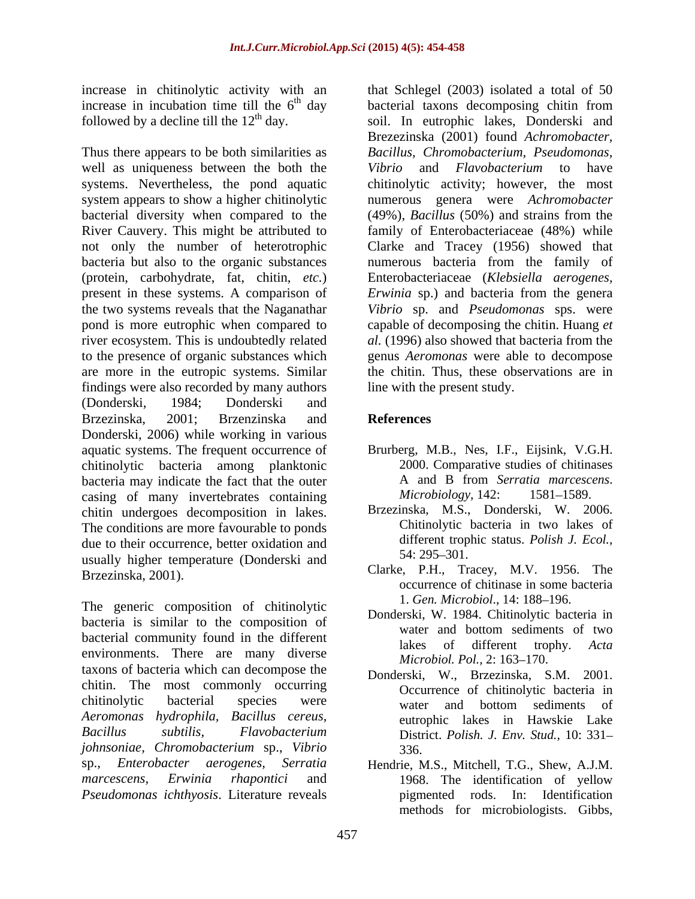Thus there appears to be both similarities as well as uniqueness between the both the Vibrio and Flavobacterium to have systems. Nevertheless, the pond aquatic chitinolytic activity; however, the most system appears to show a higher chitinolytic numerous genera were *Achromobacter*  bacterial diversity when compared to the (49%), *Bacillus* (50%) and strains from the River Cauvery. This might be attributed to family of Enterobacteriaceae (48%) while not only the number of heterotrophic Clarke and Tracey (1956) showed that bacteria but also to the organic substances numerous bacteria from the family of (protein, carbohydrate, fat, chitin, *etc.*) Enterobacteriaceae (*Klebsiella aerogenes,* present in these systems. A comparison of *Erwinia* sp.) and bacteria from the genera the two systems reveals that the Naganathar *Vibrio* sp. and *Pseudomonas* sps. were pond is more eutrophic when compared to capable of decomposing the chitin. Huang *et*  river ecosystem. This is undoubtedly related *al.* (1996) also showed that bacteria from the to the presence of organic substances which are more in the eutropic systems. Similar the chitin. Thus, these observations are in findings were also recorded by many authors (Donderski, 1984; Donderski and Brzezinska, 2001; Brzenzinska and **References** Donderski, 2006) while working in various aquatic systems. The frequent occurrence of Brurberg, M.B., Nes, I.F., Eijsink, V.G.H. chitinolytic bacteria among planktonic 2000. Comparative studies of chitinases<br>bacteria may indicate the fact that the outer A and B from Serratia marcescens. bacteria may indicate the fact that the outer <br>
Casing of many invertebrates containing *Microbiology*, 142: 1581–1589. casing of many invertebrates containing chitin undergoes decomposition in lakes. The conditions are more favourable to ponds due to their occurrence, better oxidation and<br>usually higher temperature (Dondorski and 54: 295–301. usually higher temperature (Donderski and

The generic composition of chitinolytic bacteria is similar to the composition of bonderski, w. 1984. Chamboyuc bacteria in bacterial community found in the different<br>lakes of different trophy. Acta environments. There are many diverse *Microbiol. Pol.*, 2:163–170. taxons of bacteria which can decompose the chitin. The most commonly occurring chitinolytic bacterial species were water and bottom sediments of *Aeromonas hydrophila, Bacillus cereus, Bacillus subtilis, Flavobacterium johnsoniae, Chromobacterium* sp., *Vibrio* sp., *Enterobacter aerogenes, Serratia* Hendrie, M.S., Mitchell, T.G., Shew, A.J.M. *marcescens, Erwinia rhapontici* and *Pseudomonas ichthyosis*. Literature reveals

increase in chitinolytic activity with an that Schlegel (2003) isolated a total of 50 increase in incubation time till the  $6<sup>th</sup>$  day bacterial taxons decomposing chitin from followed by a decline till the  $12<sup>th</sup>$  day. soil. In eutrophic lakes, Donderski and Brezezinska (2001) found *Achromobacter, Bacillus, Chromobacterium, Pseudomonas, Vibrio* and *Flavobacterium* to have genus *Aeromonas* were able to decompose line with the present study.

# **References**

- 2000. Comparative studies of chitinases A and B from *Serratia marcescens*. *Microbiology,* 142: 1581–1589.
- Brzezinska, M.S., Donderski, W. 2006. Chitinolytic bacteria in two lakes of different trophic status. *Polish J. Ecol.,*  $54: 295 - 301.$
- Brzezinska, 2001). Clarke, P.H., Tracey, M.V. 1956. The occurrence of chitinase in some bacteria 1. *Gen. Microbiol.*, 14: 188-196.
	- Donderski, W. 1984. Chitinolytic bacteria in water and bottom sediments of two lakes of different trophy. *Acta Microbiol. Pol., 2:* 163–170.
	- Donderski, W., Brzezinska, S.M. 2001. Occurrence of chitinolytic bacteria in water and bottom sediments of eutrophic lakes in Hawskie Lake District. *Polish. J. Env. Stud.,* 10: 331 336.
	- 1968. The identification of yellow pigmented rods. In: Identification methods for microbiologists. Gibbs,